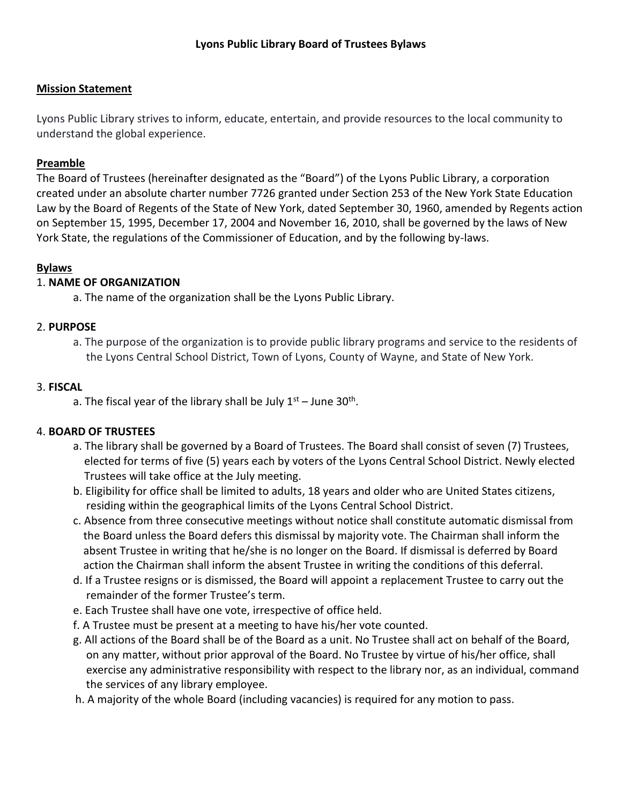# **Mission Statement**

Lyons Public Library strives to inform, educate, entertain, and provide resources to the local community to understand the global experience.

## **Preamble**

The Board of Trustees (hereinafter designated as the "Board") of the Lyons Public Library, a corporation created under an absolute charter number 7726 granted under Section 253 of the New York State Education Law by the Board of Regents of the State of New York, dated September 30, 1960, amended by Regents action on September 15, 1995, December 17, 2004 and November 16, 2010, shall be governed by the laws of New York State, the regulations of the Commissioner of Education, and by the following by-laws.

## **Bylaws**

## 1. **NAME OF ORGANIZATION**

a. The name of the organization shall be the Lyons Public Library.

## 2. **PURPOSE**

a. The purpose of the organization is to provide public library programs and service to the residents of the Lyons Central School District, Town of Lyons, County of Wayne, and State of New York.

#### 3. **FISCAL**

a. The fiscal year of the library shall be July  $1^\text{st}$  – June 30<sup>th</sup>.

#### 4. **BOARD OF TRUSTEES**

- a. The library shall be governed by a Board of Trustees. The Board shall consist of seven (7) Trustees, elected for terms of five (5) years each by voters of the Lyons Central School District. Newly elected Trustees will take office at the July meeting.
- b. Eligibility for office shall be limited to adults, 18 years and older who are United States citizens, residing within the geographical limits of the Lyons Central School District.
- c. Absence from three consecutive meetings without notice shall constitute automatic dismissal from the Board unless the Board defers this dismissal by majority vote. The Chairman shall inform the absent Trustee in writing that he/she is no longer on the Board. If dismissal is deferred by Board action the Chairman shall inform the absent Trustee in writing the conditions of this deferral.
- d. If a Trustee resigns or is dismissed, the Board will appoint a replacement Trustee to carry out the remainder of the former Trustee's term.
- e. Each Trustee shall have one vote, irrespective of office held.
- f. A Trustee must be present at a meeting to have his/her vote counted.
- g. All actions of the Board shall be of the Board as a unit. No Trustee shall act on behalf of the Board, on any matter, without prior approval of the Board. No Trustee by virtue of his/her office, shall exercise any administrative responsibility with respect to the library nor, as an individual, command the services of any library employee.
- h. A majority of the whole Board (including vacancies) is required for any motion to pass.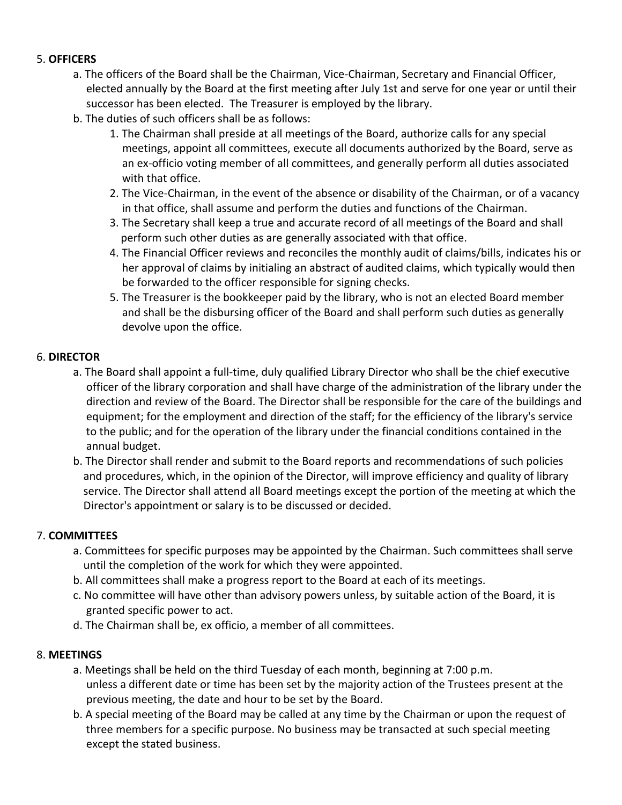# 5. **OFFICERS**

- a. The officers of the Board shall be the Chairman, Vice-Chairman, Secretary and Financial Officer, elected annually by the Board at the first meeting after July 1st and serve for one year or until their successor has been elected. The Treasurer is employed by the library.
- b. The duties of such officers shall be as follows:
	- 1. The Chairman shall preside at all meetings of the Board, authorize calls for any special meetings, appoint all committees, execute all documents authorized by the Board, serve as an ex-officio voting member of all committees, and generally perform all duties associated with that office.
	- 2. The Vice-Chairman, in the event of the absence or disability of the Chairman, or of a vacancy in that office, shall assume and perform the duties and functions of the Chairman.
	- 3. The Secretary shall keep a true and accurate record of all meetings of the Board and shall perform such other duties as are generally associated with that office.
	- 4. The Financial Officer reviews and reconciles the monthly audit of claims/bills, indicates his or her approval of claims by initialing an abstract of audited claims, which typically would then be forwarded to the officer responsible for signing checks.
	- 5. The Treasurer is the bookkeeper paid by the library, who is not an elected Board member and shall be the disbursing officer of the Board and shall perform such duties as generally devolve upon the office.

## 6. **DIRECTOR**

- a. The Board shall appoint a full-time, duly qualified Library Director who shall be the chief executive officer of the library corporation and shall have charge of the administration of the library under the direction and review of the Board. The Director shall be responsible for the care of the buildings and equipment; for the employment and direction of the staff; for the efficiency of the library's service to the public; and for the operation of the library under the financial conditions contained in the annual budget.
- b. The Director shall render and submit to the Board reports and recommendations of such policies and procedures, which, in the opinion of the Director, will improve efficiency and quality of library service. The Director shall attend all Board meetings except the portion of the meeting at which the Director's appointment or salary is to be discussed or decided.

# 7. **COMMITTEES**

- a. Committees for specific purposes may be appointed by the Chairman. Such committees shall serve until the completion of the work for which they were appointed.
- b. All committees shall make a progress report to the Board at each of its meetings.
- c. No committee will have other than advisory powers unless, by suitable action of the Board, it is granted specific power to act.
- d. The Chairman shall be, ex officio, a member of all committees.

# 8. **MEETINGS**

- a. Meetings shall be held on the third Tuesday of each month, beginning at 7:00 p.m. unless a different date or time has been set by the majority action of the Trustees present at the previous meeting, the date and hour to be set by the Board.
- b. A special meeting of the Board may be called at any time by the Chairman or upon the request of three members for a specific purpose. No business may be transacted at such special meeting except the stated business.